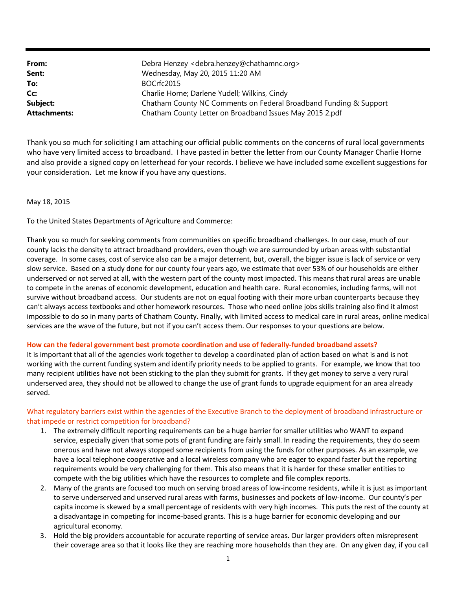| From:               | Debra Henzey <debra.henzey@chathamnc.org></debra.henzey@chathamnc.org> |
|---------------------|------------------------------------------------------------------------|
| Sent:               | Wednesday, May 20, 2015 11:20 AM                                       |
| To:                 | BOCrfc2015                                                             |
| Cc:                 | Charlie Horne; Darlene Yudell; Wilkins, Cindy                          |
| Subject:            | Chatham County NC Comments on Federal Broadband Funding & Support      |
| <b>Attachments:</b> | Chatham County Letter on Broadband Issues May 2015 2.pdf               |

Thank you so much for soliciting I am attaching our official public comments on the concerns of rural local governments who have very limited access to broadband. I have pasted in better the letter from our County Manager Charlie Horne and also provide a signed copy on letterhead for your records. I believe we have included some excellent suggestions for your consideration. Let me know if you have any questions.

May 18, 2015

To the United States Departments of Agriculture and Commerce:

Thank you so much for seeking comments from communities on specific broadband challenges. In our case, much of our county lacks the density to attract broadband providers, even though we are surrounded by urban areas with substantial coverage. In some cases, cost of service also can be a major deterrent, but, overall, the bigger issue is lack of service or very slow service. Based on a study done for our county four years ago, we estimate that over 53% of our households are either underserved or not served at all, with the western part of the county most impacted. This means that rural areas are unable to compete in the arenas of economic development, education and health care. Rural economies, including farms, will not survive without broadband access. Our students are not on equal footing with their more urban counterparts because they can't always access textbooks and other homework resources. Those who need online jobs skills training also find it almost impossible to do so in many parts of Chatham County. Finally, with limited access to medical care in rural areas, online medical services are the wave of the future, but not if you can't access them. Our responses to your questions are below.

#### **How can the federal government best promote coordination and use of federally‐funded broadband assets?**

It is important that all of the agencies work together to develop a coordinated plan of action based on what is and is not working with the current funding system and identify priority needs to be applied to grants. For example, we know that too many recipient utilities have not been sticking to the plan they submit for grants. If they get money to serve a very rural underserved area, they should not be allowed to change the use of grant funds to upgrade equipment for an area already served.

### What regulatory barriers exist within the agencies of the Executive Branch to the deployment of broadband infrastructure or that impede or restrict competition for broadband?

- 1. The extremely difficult reporting requirements can be a huge barrier for smaller utilities who WANT to expand service, especially given that some pots of grant funding are fairly small. In reading the requirements, they do seem onerous and have not always stopped some recipients from using the funds for other purposes. As an example, we have a local telephone cooperative and a local wireless company who are eager to expand faster but the reporting requirements would be very challenging for them. This also means that it is harder for these smaller entities to compete with the big utilities which have the resources to complete and file complex reports.
- 2. Many of the grants are focused too much on serving broad areas of low-income residents, while it is just as important to serve underserved and unserved rural areas with farms, businesses and pockets of low-income. Our county's per capita income is skewed by a small percentage of residents with very high incomes. This puts the rest of the county at a disadvantage in competing for income‐based grants. This is a huge barrier for economic developing and our agricultural economy.
- 3. Hold the big providers accountable for accurate reporting of service areas. Our larger providers often misrepresent their coverage area so that it looks like they are reaching more households than they are. On any given day, if you call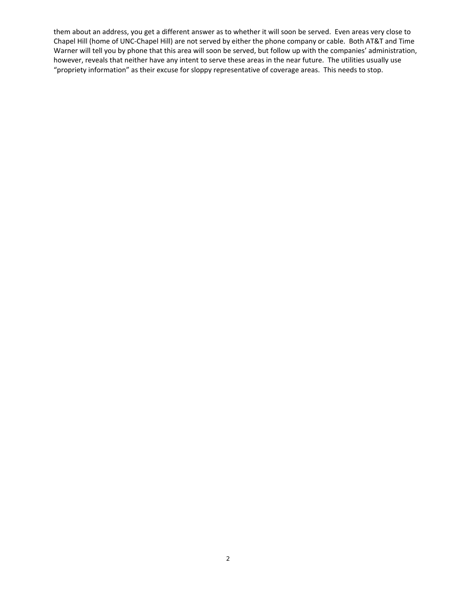them about an address, you get a different answer as to whether it will soon be served. Even areas very close to Chapel Hill (home of UNC‐Chapel Hill) are not served by either the phone company or cable. Both AT&T and Time Warner will tell you by phone that this area will soon be served, but follow up with the companies' administration, however, reveals that neither have any intent to serve these areas in the near future. The utilities usually use "propriety information" as their excuse for sloppy representative of coverage areas. This needs to stop.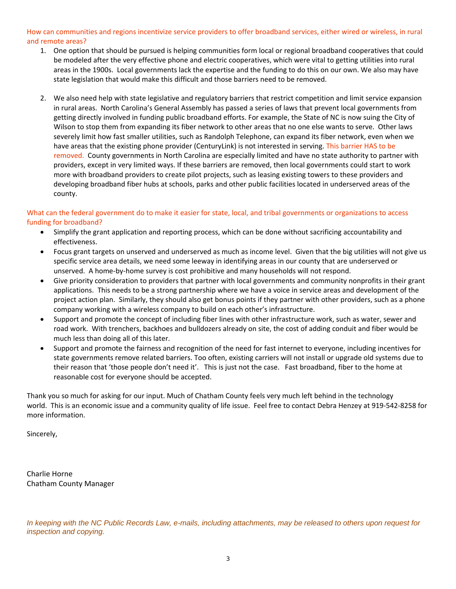### How can communities and regions incentivize service providers to offer broadband services, either wired or wireless, in rural and remote areas?

- 1. One option that should be pursued is helping communities form local or regional broadband cooperatives that could be modeled after the very effective phone and electric cooperatives, which were vital to getting utilities into rural areas in the 1900s. Local governments lack the expertise and the funding to do this on our own. We also may have state legislation that would make this difficult and those barriers need to be removed.
- 2. We also need help with state legislative and regulatory barriers that restrict competition and limit service expansion in rural areas. North Carolina's General Assembly has passed a series of laws that prevent local governments from getting directly involved in funding public broadband efforts. For example, the State of NC is now suing the City of Wilson to stop them from expanding its fiber network to other areas that no one else wants to serve. Other laws severely limit how fast smaller utilities, such as Randolph Telephone, can expand its fiber network, even when we have areas that the existing phone provider (CenturyLink) is not interested in serving. This barrier HAS to be removed. County governments in North Carolina are especially limited and have no state authority to partner with providers, except in very limited ways. If these barriers are removed, then local governments could start to work more with broadband providers to create pilot projects, such as leasing existing towers to these providers and developing broadband fiber hubs at schools, parks and other public facilities located in underserved areas of the county.

### What can the federal government do to make it easier for state, local, and tribal governments or organizations to access funding for broadband?

- Simplify the grant application and reporting process, which can be done without sacrificing accountability and effectiveness.
- Focus grant targets on unserved and underserved as much as income level. Given that the big utilities will not give us specific service area details, we need some leeway in identifying areas in our county that are underserved or unserved. A home‐by‐home survey is cost prohibitive and many households will not respond.
- Give priority consideration to providers that partner with local governments and community nonprofits in their grant applications. This needs to be a strong partnership where we have a voice in service areas and development of the project action plan. Similarly, they should also get bonus points if they partner with other providers, such as a phone company working with a wireless company to build on each other's infrastructure.
- Support and promote the concept of including fiber lines with other infrastructure work, such as water, sewer and road work. With trenchers, backhoes and bulldozers already on site, the cost of adding conduit and fiber would be much less than doing all of this later.
- Support and promote the fairness and recognition of the need for fast internet to everyone, including incentives for state governments remove related barriers. Too often, existing carriers will not install or upgrade old systems due to their reason that 'those people don't need it'. This is just not the case. Fast broadband, fiber to the home at reasonable cost for everyone should be accepted.

Thank you so much for asking for our input. Much of Chatham County feels very much left behind in the technology world. This is an economic issue and a community quality of life issue. Feel free to contact Debra Henzey at 919‐542‐8258 for more information.

Sincerely,

Charlie Horne Chatham County Manager

*In keeping with the NC Public Records Law, e-mails, including attachments, may be released to others upon request for inspection and copying.*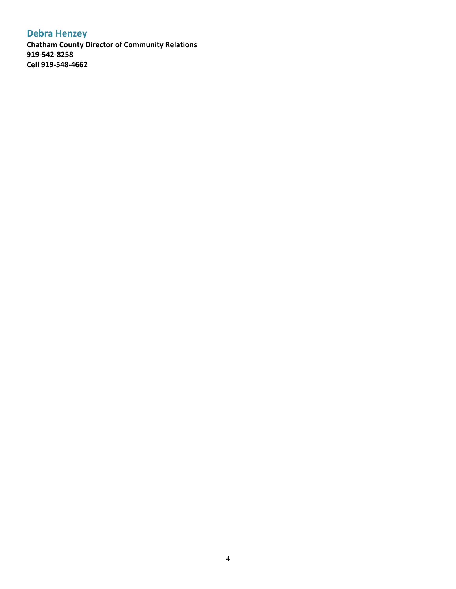# **Debra Henzey**

**Chatham County Director of Community Relations 919‐542‐8258 Cell 919‐548‐4662**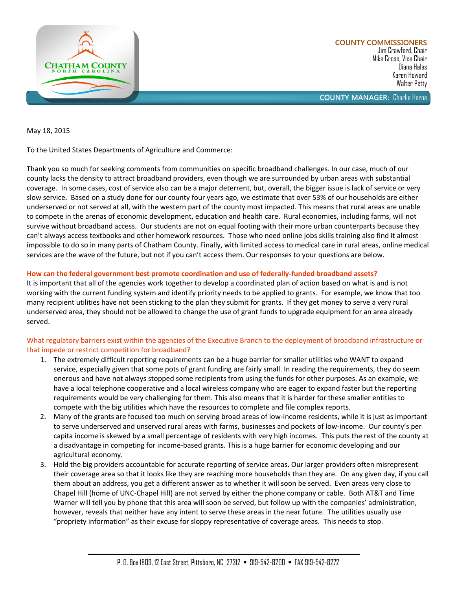

Jim Crawford, Chair Mike Cross, Vice Chair Diana Hales Karen Howard Walter Petty

**COUNTY MANAGER**: Charlie Horne

May 18, 2015

To the United States Departments of Agriculture and Commerce:

Thank you so much for seeking comments from communities on specific broadband challenges. In our case, much of our county lacks the density to attract broadband providers, even though we are surrounded by urban areas with substantial coverage. In some cases, cost of service also can be a major deterrent, but, overall, the bigger issue is lack of service or very slow service. Based on a study done for our county four years ago, we estimate that over 53% of our households are either underserved or not served at all, with the western part of the county most impacted. This means that rural areas are unable to compete in the arenas of economic development, education and health care. Rural economies, including farms, will not survive without broadband access. Our students are not on equal footing with their more urban counterparts because they can't always access textbooks and other homework resources. Those who need online jobs skills training also find it almost impossible to do so in many parts of Chatham County. Finally, with limited access to medical care in rural areas, online medical services are the wave of the future, but not if you can't access them. Our responses to your questions are below.

### **How can the federal government best promote coordination and use of federally-funded broadband assets?**

It is important that all of the agencies work together to develop a coordinated plan of action based on what is and is not working with the current funding system and identify priority needs to be applied to grants. For example, we know that too many recipient utilities have not been sticking to the plan they submit for grants. If they get money to serve a very rural underserved area, they should not be allowed to change the use of grant funds to upgrade equipment for an area already served.

# What regulatory barriers exist within the agencies of the Executive Branch to the deployment of broadband infrastructure or that impede or restrict competition for broadband?

- 1. The extremely difficult reporting requirements can be a huge barrier for smaller utilities who WANT to expand service, especially given that some pots of grant funding are fairly small. In reading the requirements, they do seem onerous and have not always stopped some recipients from using the funds for other purposes. As an example, we have a local telephone cooperative and a local wireless company who are eager to expand faster but the reporting requirements would be very challenging for them. This also means that it is harder for these smaller entities to compete with the big utilities which have the resources to complete and file complex reports.
- 2. Many of the grants are focused too much on serving broad areas of low-income residents, while it is just as important to serve underserved and unserved rural areas with farms, businesses and pockets of low-income. Our county's per capita income is skewed by a small percentage of residents with very high incomes. This puts the rest of the county at a disadvantage in competing for income-based grants. This is a huge barrier for economic developing and our agricultural economy.
- 3. Hold the big providers accountable for accurate reporting of service areas. Our larger providers often misrepresent their coverage area so that it looks like they are reaching more households than they are. On any given day, if you call them about an address, you get a different answer as to whether it will soon be served. Even areas very close to Chapel Hill (home of UNC-Chapel Hill) are not served by either the phone company or cable. Both AT&T and Time Warner will tell you by phone that this area will soon be served, but follow up with the companies' administration, however, reveals that neither have any intent to serve these areas in the near future. The utilities usually use "propriety information" as their excuse for sloppy representative of coverage areas. This needs to stop.